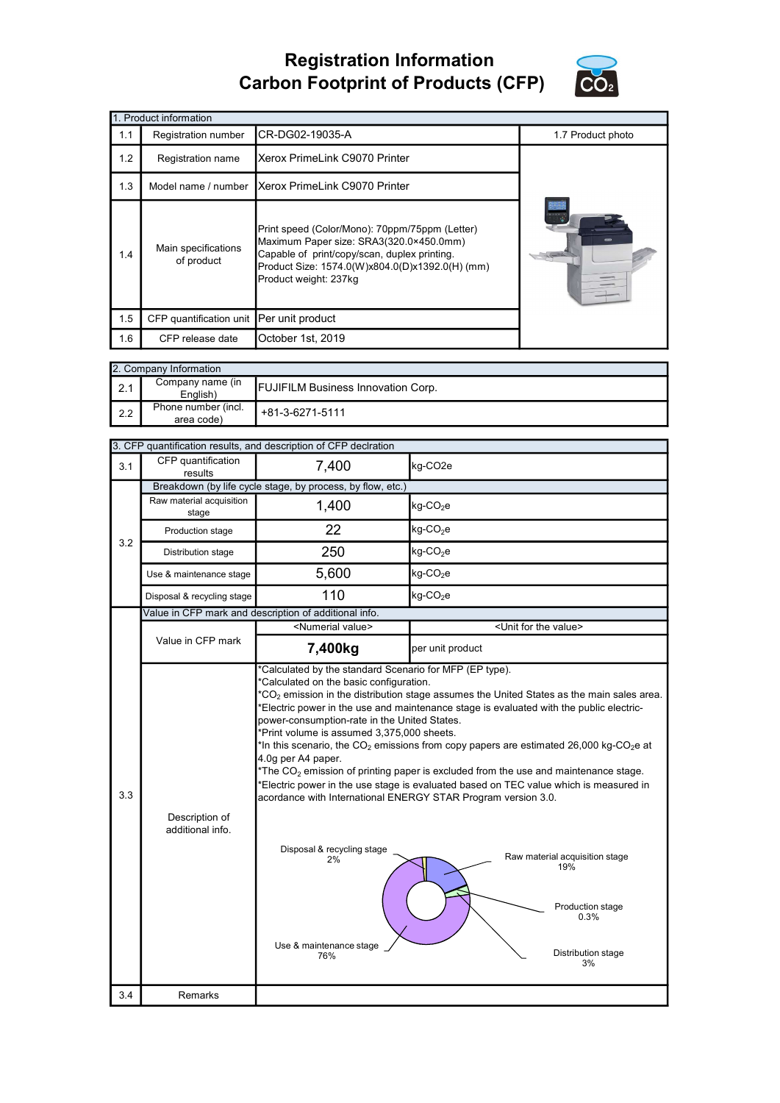## Registration Information Carbon Footprint of Products (CFP)



| 1. Product information |                                                                                                                                                                                                                                                            |                                      |                   |  |  |
|------------------------|------------------------------------------------------------------------------------------------------------------------------------------------------------------------------------------------------------------------------------------------------------|--------------------------------------|-------------------|--|--|
| 1.1                    | Registration number                                                                                                                                                                                                                                        | CR-DG02-19035-A                      | 1.7 Product photo |  |  |
| 1.2                    | Registration name                                                                                                                                                                                                                                          | Xerox PrimeLink C9070 Printer        |                   |  |  |
| 1.3                    | Model name / number                                                                                                                                                                                                                                        | <b>Xerox PrimeLink C9070 Printer</b> |                   |  |  |
| 1.4                    | Print speed (Color/Mono): 70ppm/75ppm (Letter)<br>Maximum Paper size: SRA3(320.0×450.0mm)<br>Main specifications<br>Capable of print/copy/scan, duplex printing.<br>of product<br>Product Size: 1574.0(W)x804.0(D)x1392.0(H) (mm)<br>Product weight: 237kg |                                      |                   |  |  |
| 1.5                    | CFP quantification unit Per unit product                                                                                                                                                                                                                   |                                      |                   |  |  |
| 1.6                    | CFP release date                                                                                                                                                                                                                                           | October 1st, 2019                    |                   |  |  |

|     | 2. Company Information            |                                           |  |  |  |
|-----|-----------------------------------|-------------------------------------------|--|--|--|
| 2.1 | Company name (in<br>English)      | <b>FUJIFILM Business Innovation Corp.</b> |  |  |  |
| 2.2 | Phone number (incl.<br>area code) | +81-3-6271-5111                           |  |  |  |

|     |                                    | 3. CFP quantification results, and description of CFP declration                                                                                                                                                                                           |                                                                                                                                                                                                                                                                                                                                                                                                                                                                                                                                                                                                     |  |
|-----|------------------------------------|------------------------------------------------------------------------------------------------------------------------------------------------------------------------------------------------------------------------------------------------------------|-----------------------------------------------------------------------------------------------------------------------------------------------------------------------------------------------------------------------------------------------------------------------------------------------------------------------------------------------------------------------------------------------------------------------------------------------------------------------------------------------------------------------------------------------------------------------------------------------------|--|
| 3.1 | CFP quantification<br>results      | 7,400                                                                                                                                                                                                                                                      | kg-CO <sub>2e</sub>                                                                                                                                                                                                                                                                                                                                                                                                                                                                                                                                                                                 |  |
|     |                                    | Breakdown (by life cycle stage, by process, by flow, etc.)                                                                                                                                                                                                 |                                                                                                                                                                                                                                                                                                                                                                                                                                                                                                                                                                                                     |  |
|     | Raw material acquisition<br>stage  | 1,400                                                                                                                                                                                                                                                      | kg-CO <sub>2</sub> e                                                                                                                                                                                                                                                                                                                                                                                                                                                                                                                                                                                |  |
| 3.2 | Production stage                   | 22                                                                                                                                                                                                                                                         | $kg$ -CO <sub>2</sub> e                                                                                                                                                                                                                                                                                                                                                                                                                                                                                                                                                                             |  |
|     | Distribution stage                 | 250                                                                                                                                                                                                                                                        | kg-CO <sub>2</sub> e                                                                                                                                                                                                                                                                                                                                                                                                                                                                                                                                                                                |  |
|     | Use & maintenance stage            | 5,600                                                                                                                                                                                                                                                      | $kg$ -CO <sub>2</sub> e                                                                                                                                                                                                                                                                                                                                                                                                                                                                                                                                                                             |  |
|     | Disposal & recycling stage         | 110                                                                                                                                                                                                                                                        | $kg$ -CO <sub>2</sub> e                                                                                                                                                                                                                                                                                                                                                                                                                                                                                                                                                                             |  |
|     |                                    | Value in CFP mark and description of additional info.                                                                                                                                                                                                      |                                                                                                                                                                                                                                                                                                                                                                                                                                                                                                                                                                                                     |  |
|     |                                    | <numerial value=""></numerial>                                                                                                                                                                                                                             | <unit for="" the="" value=""></unit>                                                                                                                                                                                                                                                                                                                                                                                                                                                                                                                                                                |  |
|     | Value in CFP mark                  | 7,400kg                                                                                                                                                                                                                                                    | per unit product                                                                                                                                                                                                                                                                                                                                                                                                                                                                                                                                                                                    |  |
| 3.3 | Description of<br>additional info. | power-consumption-rate in the United States.<br>*Print volume is assumed 3,375,000 sheets.<br>4.0g per A4 paper.<br>acordance with International ENERGY STAR Program version 3.0.<br>Disposal & recycling stage<br>$2\%$<br>Use & maintenance stage<br>76% | $^{\star}CO_{2}$ emission in the distribution stage assumes the United States as the main sales area.<br>*Electric power in the use and maintenance stage is evaluated with the public electric-<br>In this scenario, the CO <sub>2</sub> emissions from copy papers are estimated 26,000 kg-CO <sub>2</sub> e at<br>The $CO2$ emission of printing paper is excluded from the use and maintenance stage.<br>*Electric power in the use stage is evaluated based on TEC value which is measured in<br>Raw material acquisition stage<br>19%<br>Production stage<br>0.3%<br>Distribution stage<br>3% |  |
| 3.4 | Remarks                            |                                                                                                                                                                                                                                                            |                                                                                                                                                                                                                                                                                                                                                                                                                                                                                                                                                                                                     |  |